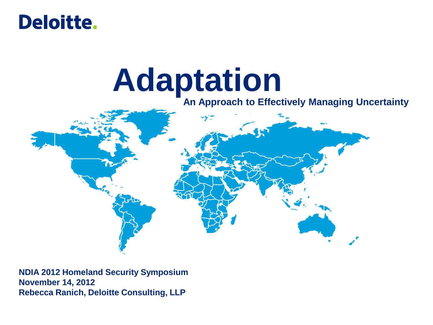

# **Adaptation**

#### **An Approach to Effectively Managing Uncertainty**



**NDIA 2012 Homeland Security Symposium November 14, 2012 Rebecca Ranich, Deloitte Consulting, LLP**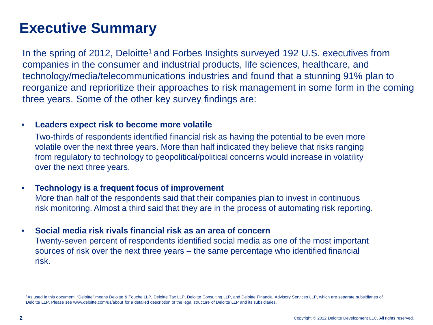# **Executive Summary**

In the spring of 2012, Deloitte<sup>1</sup> and Forbes Insights surveyed 192 U.S. executives from companies in the consumer and industrial products, life sciences, healthcare, and technology/media/telecommunications industries and found that a stunning 91% plan to reorganize and reprioritize their approaches to risk management in some form in the coming three years. Some of the other key survey findings are:

#### • **Leaders expect risk to become more volatile**

Two-thirds of respondents identified financial risk as having the potential to be even more volatile over the next three years. More than half indicated they believe that risks ranging from regulatory to technology to geopolitical/political concerns would increase in volatility over the next three years.

#### • **Technology is a frequent focus of improvement**

More than half of the respondents said that their companies plan to invest in continuous risk monitoring. Almost a third said that they are in the process of automating risk reporting.

#### • **Social media risk rivals financial risk as an area of concern**

Twenty-seven percent of respondents identified social media as one of the most important sources of risk over the next three years – the same percentage who identified financial risk.

1As used in this document, "Deloitte" means Deloitte & Touche LLP, Deloitte Tax LLP, Deloitte Consulting LLP, and Deloitte Financial Advisory Services LLP, which are separate subsidiaries of Deloitte LLP. Please see www.deloitte.com/us/about for a detailed description of the legal structure of Deloitte LLP and its subsidiaries.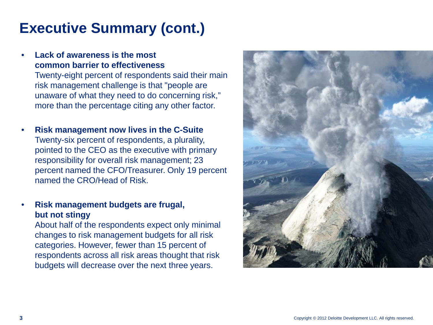# **Executive Summary (cont.)**

#### • **Lack of awareness is the most common barrier to effectiveness**

Twenty-eight percent of respondents said their main risk management challenge is that "people are unaware of what they need to do concerning risk," more than the percentage citing any other factor.

• **Risk management now lives in the C-Suite** Twenty-six percent of respondents, a plurality, pointed to the CEO as the executive with primary responsibility for overall risk management; 23 percent named the CFO/Treasurer. Only 19 percent named the CRO/Head of Risk.

#### • **Risk management budgets are frugal, but not stingy**

About half of the respondents expect only minimal changes to risk management budgets for all risk categories. However, fewer than 15 percent of respondents across all risk areas thought that risk budgets will decrease over the next three years.

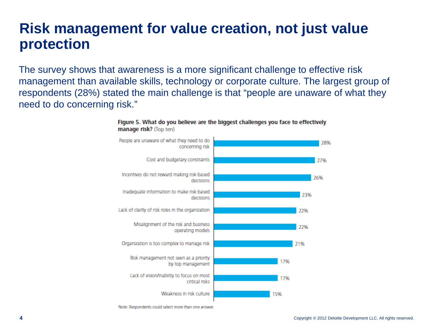### **Risk management for value creation, not just value protection**

The survey shows that awareness is a more significant challenge to effective risk management than available skills, technology or corporate culture. The largest group of respondents (28%) stated the main challenge is that "people are unaware of what they need to do concerning risk."



Figure 5. What do you believe are the biggest challenges you face to effectively manage risk? (Top ten)

Note: Respondents could select more than one answer.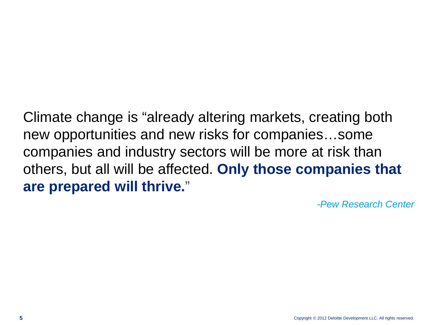Climate change is "already altering markets, creating both new opportunities and new risks for companies…some companies and industry sectors will be more at risk than others, but all will be affected. **Only those companies that are prepared will thrive.**"

*-Pew Research Center*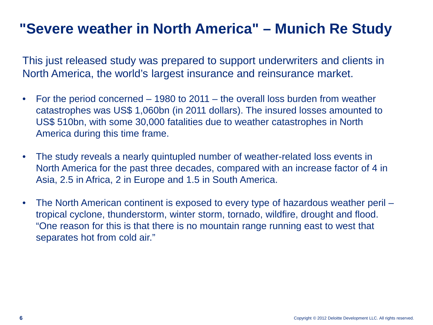# **"Severe weather in North America" – Munich Re Study**

This just released study was prepared to support underwriters and clients in North America, the world's largest insurance and reinsurance market.

- For the period concerned 1980 to 2011 the overall loss burden from weather catastrophes was US\$ 1,060bn (in 2011 dollars). The insured losses amounted to US\$ 510bn, with some 30,000 fatalities due to weather catastrophes in North America during this time frame.
- The study reveals a nearly quintupled number of weather-related loss events in North America for the past three decades, compared with an increase factor of 4 in Asia, 2.5 in Africa, 2 in Europe and 1.5 in South America.
- The North American continent is exposed to every type of hazardous weather peril tropical cyclone, thunderstorm, winter storm, tornado, wildfire, drought and flood. "One reason for this is that there is no mountain range running east to west that separates hot from cold air."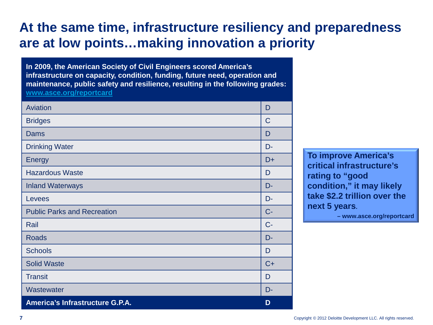### **At the same time, infrastructure resiliency and preparedness are at low points…making innovation a priority**

**In 2009, the American Society of Civil Engineers scored America's infrastructure on capacity, condition, funding, future need, operation and maintenance, public safety and resilience, resulting in the following grades: [www.asce.org/reportcard](http://www.asce.org/reportcard)**

| Aviation                           | D     |
|------------------------------------|-------|
| <b>Bridges</b>                     | C     |
| Dams                               | D     |
| <b>Drinking Water</b>              | D-    |
| <b>Energy</b>                      | D+    |
| <b>Hazardous Waste</b>             | D     |
| <b>Inland Waterways</b>            | D-    |
| Levees                             | D-    |
| <b>Public Parks and Recreation</b> | $C -$ |
| Rail                               | $C -$ |
| <b>Roads</b>                       | D-    |
| <b>Schools</b>                     | D     |
| <b>Solid Waste</b>                 | $C+$  |
| <b>Transit</b>                     | D     |
| Wastewater                         | D-    |
| America's Infrastructure G.P.A.    | D     |

**To improve America's critical infrastructure's rating to "good condition," it may likely take \$2.2 trillion over the next 5 years.** 

 **– www.asce.org/reportcard**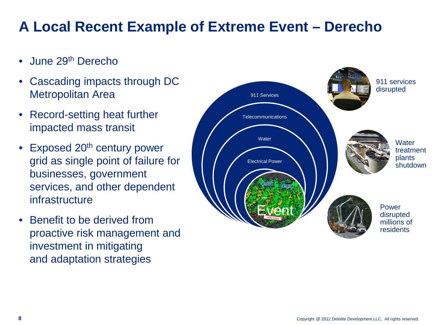# **A Local Recent Example of Extreme Event – Derecho**

- June 29<sup>th</sup> Derecho
- Cascading impacts through DC Metropolitan Area
- Record-setting heat further impacted mass transit
- Exposed 20<sup>th</sup> century power grid as single point of failure for businesses, government services, and other dependent infrastructure
- Benefit to be derived from proactive risk management and investment in mitigating and adaptation strategies

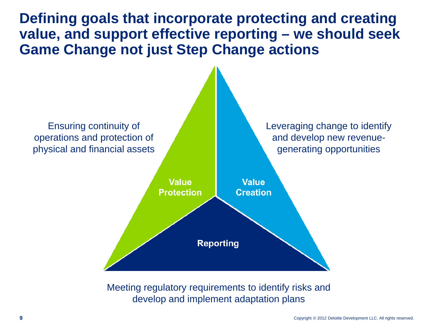**Defining goals that incorporate protecting and creating value, and support effective reporting – we should seek Game Change not just Step Change actions**



Meeting regulatory requirements to identify risks and develop and implement adaptation plans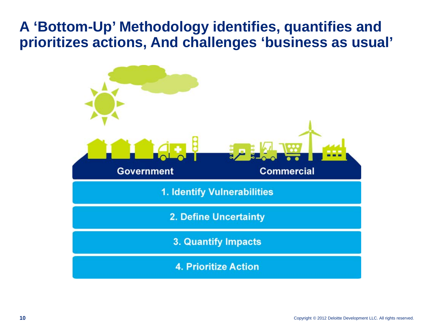### **A 'Bottom-Up' Methodology identifies, quantifies and prioritizes actions, And challenges 'business as usual'**

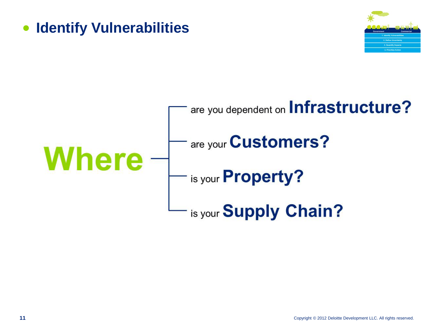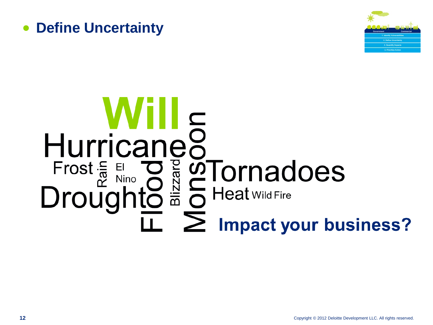



# Hurricaneo<br>
Frost  $\frac{2}{5}$  Eliano de Santon Comadoes<br>
Droughto  $\frac{2}{5}$  Of Heat wild Fire  $\overline{\mathbb{L}}$   $\sum$  Impact your business?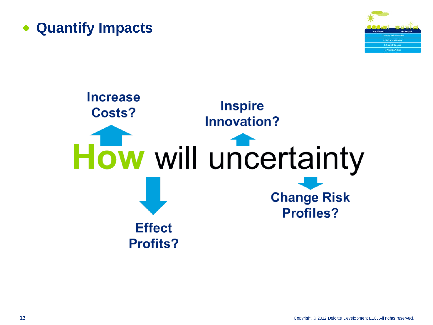



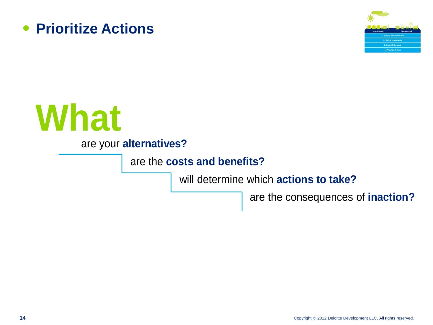





are your **alternatives?**

are the **costs and benefits?**

will determine which **actions to take?**

are the consequences of **inaction?**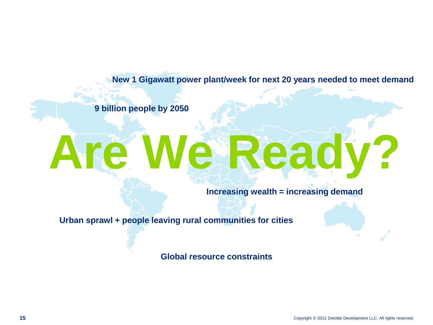**New 1 Gigawatt power plant/week for next 20 years needed to meet demand**

**9 billion people by 2050**

# **Are We Ready?**

**Increasing wealth = increasing demand**

**Urban sprawl + people leaving rural communities for cities**

**Global resource constraints**